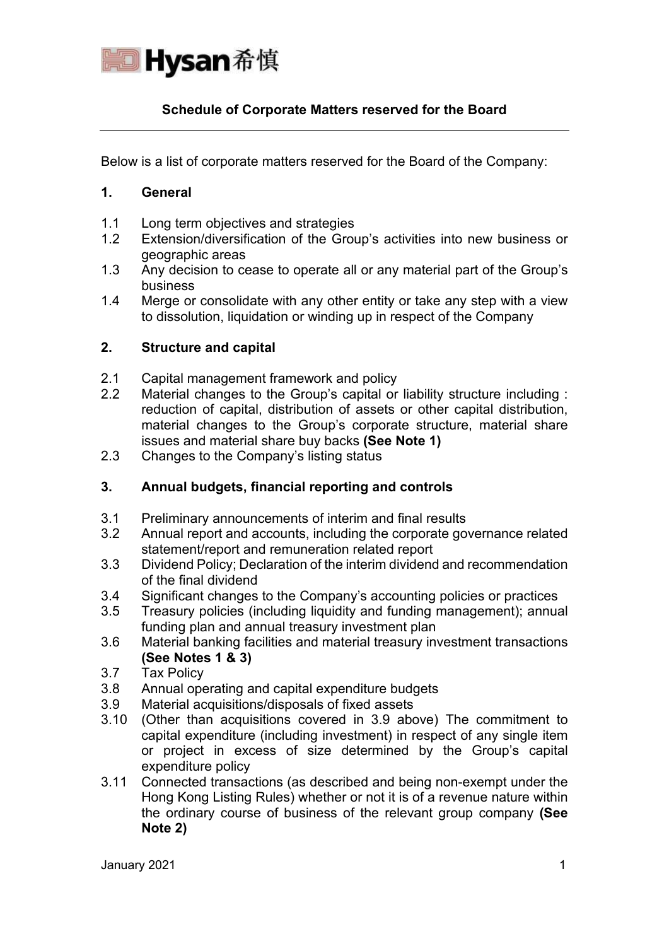

# **Schedule of Corporate Matters reserved for the Board**

Below is a list of corporate matters reserved for the Board of the Company:

#### **1. General**

- 1.1 Long term objectives and strategies
- 1.2 Extension/diversification of the Group's activities into new business or geographic areas
- 1.3 Any decision to cease to operate all or any material part of the Group's business
- 1.4 Merge or consolidate with any other entity or take any step with a view to dissolution, liquidation or winding up in respect of the Company

## **2. Structure and capital**

- 2.1 Capital management framework and policy
- 2.2 Material changes to the Group's capital or liability structure including : reduction of capital, distribution of assets or other capital distribution, material changes to the Group's corporate structure, material share issues and material share buy backs **(See Note 1)**
- 2.3 Changes to the Company's listing status

# **3. Annual budgets, financial reporting and controls**

- 3.1 Preliminary announcements of interim and final results
- 3.2 Annual report and accounts, including the corporate governance related statement/report and remuneration related report
- 3.3 Dividend Policy; Declaration of the interim dividend and recommendation of the final dividend
- 3.4 Significant changes to the Company's accounting policies or practices
- 3.5 Treasury policies (including liquidity and funding management); annual funding plan and annual treasury investment plan
- 3.6 Material banking facilities and material treasury investment transactions **(See Notes 1 & 3)**
- 3.7 Tax Policy
- 3.8 Annual operating and capital expenditure budgets
- 3.9 Material acquisitions/disposals of fixed assets
- 3.10 (Other than acquisitions covered in 3.9 above) The commitment to capital expenditure (including investment) in respect of any single item or project in excess of size determined by the Group's capital expenditure policy
- 3.11 Connected transactions (as described and being non-exempt under the Hong Kong Listing Rules) whether or not it is of a revenue nature within the ordinary course of business of the relevant group company **(See Note 2)**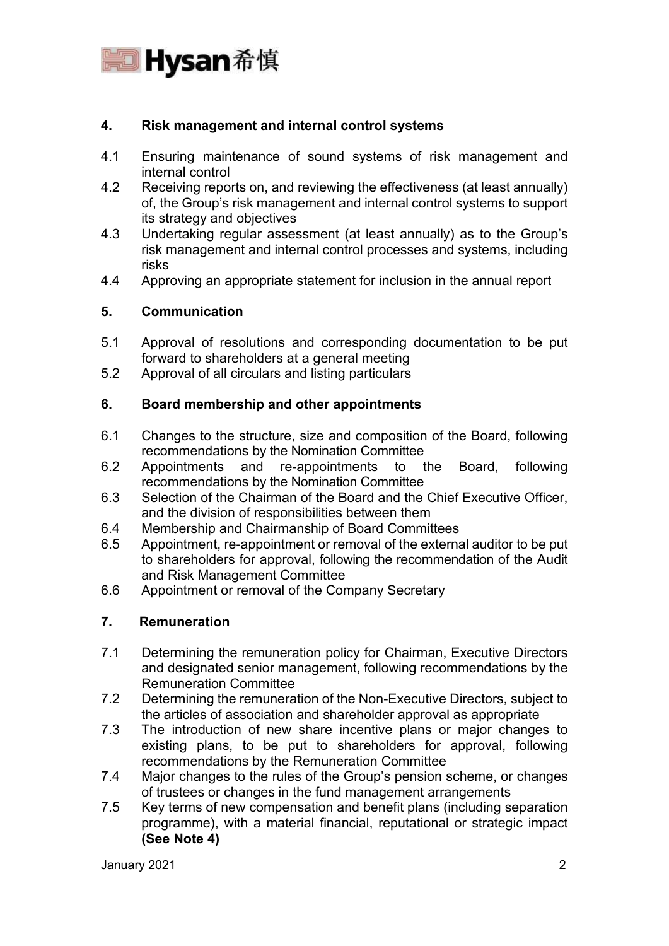

## **4. Risk management and internal control systems**

- 4.1 Ensuring maintenance of sound systems of risk management and internal control
- 4.2 Receiving reports on, and reviewing the effectiveness (at least annually) of, the Group's risk management and internal control systems to support its strategy and objectives
- 4.3 Undertaking regular assessment (at least annually) as to the Group's risk management and internal control processes and systems, including risks
- 4.4 Approving an appropriate statement for inclusion in the annual report

## **5. Communication**

- 5.1 Approval of resolutions and corresponding documentation to be put forward to shareholders at a general meeting
- 5.2 Approval of all circulars and listing particulars

### **6. Board membership and other appointments**

- 6.1 Changes to the structure, size and composition of the Board, following recommendations by the Nomination Committee
- 6.2 Appointments and re-appointments to the Board, following recommendations by the Nomination Committee
- 6.3 Selection of the Chairman of the Board and the Chief Executive Officer, and the division of responsibilities between them
- 6.4 Membership and Chairmanship of Board Committees
- 6.5 Appointment, re-appointment or removal of the external auditor to be put to shareholders for approval, following the recommendation of the Audit and Risk Management Committee
- 6.6 Appointment or removal of the Company Secretary

## **7. Remuneration**

- 7.1 Determining the remuneration policy for Chairman, Executive Directors and designated senior management, following recommendations by the Remuneration Committee
- 7.2 Determining the remuneration of the Non-Executive Directors, subject to the articles of association and shareholder approval as appropriate
- 7.3 The introduction of new share incentive plans or major changes to existing plans, to be put to shareholders for approval, following recommendations by the Remuneration Committee
- 7.4 Major changes to the rules of the Group's pension scheme, or changes of trustees or changes in the fund management arrangements
- 7.5 Key terms of new compensation and benefit plans (including separation programme), with a material financial, reputational or strategic impact **(See Note 4)**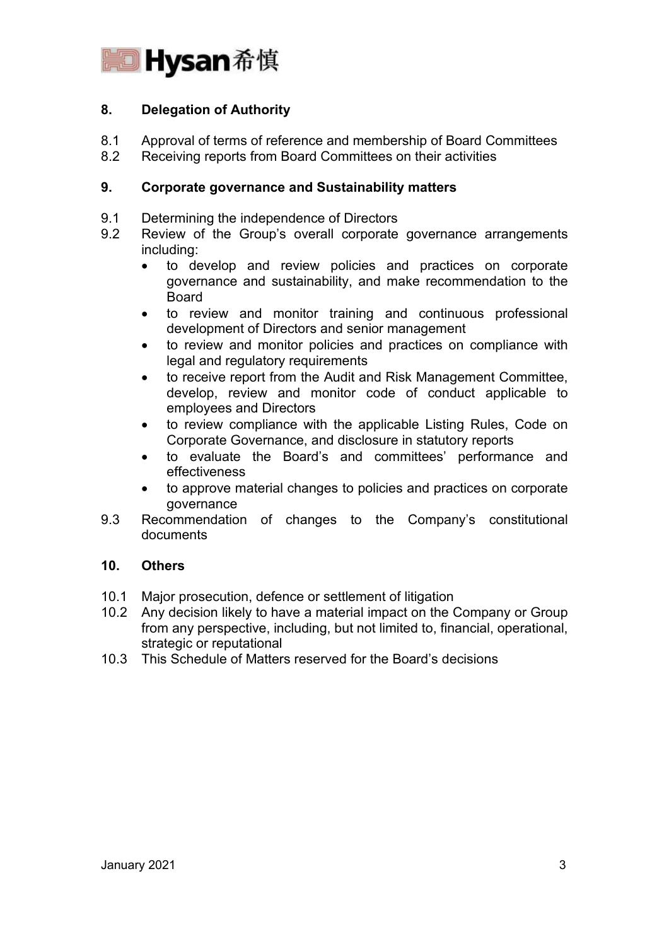

# **8. Delegation of Authority**

- 8.1 Approval of terms of reference and membership of Board Committees
- 8.2 Receiving reports from Board Committees on their activities

## **9. Corporate governance and Sustainability matters**

- 9.1 Determining the independence of Directors
- 9.2 Review of the Group's overall corporate governance arrangements including:
	- to develop and review policies and practices on corporate governance and sustainability, and make recommendation to the Board
	- to review and monitor training and continuous professional development of Directors and senior management
	- to review and monitor policies and practices on compliance with legal and regulatory requirements
	- to receive report from the Audit and Risk Management Committee, develop, review and monitor code of conduct applicable to employees and Directors
	- to review compliance with the applicable Listing Rules, Code on Corporate Governance, and disclosure in statutory reports
	- to evaluate the Board's and committees' performance and effectiveness
	- to approve material changes to policies and practices on corporate governance
- 9.3 Recommendation of changes to the Company's constitutional documents

## **10. Others**

- 10.1 Major prosecution, defence or settlement of litigation<br>10.2 Any decision likely to have a material impact on the 0
- Any decision likely to have a material impact on the Company or Group from any perspective, including, but not limited to, financial, operational, strategic or reputational
- 10.3 This Schedule of Matters reserved for the Board's decisions